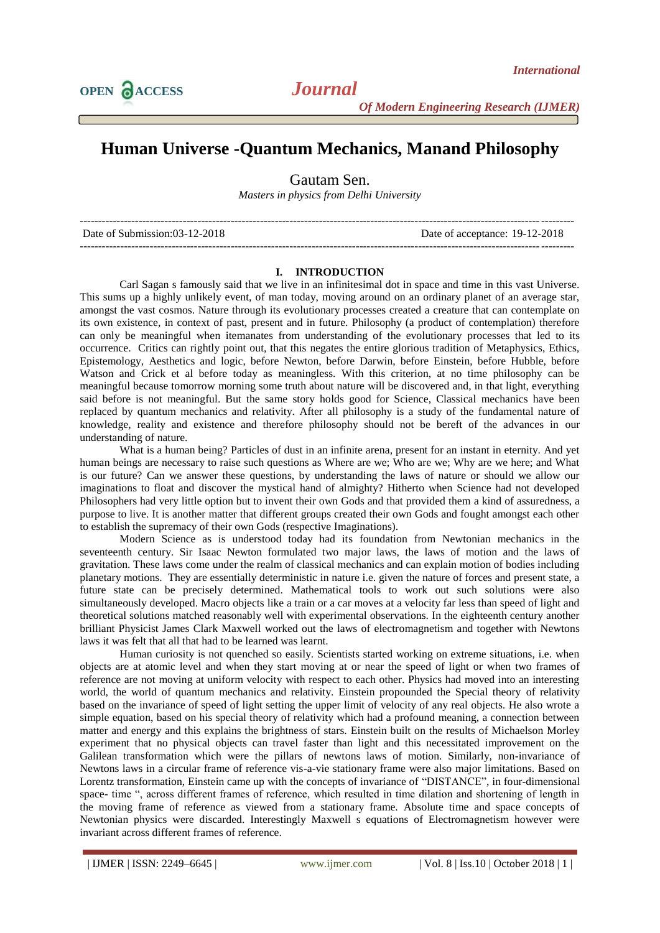*Of Modern Engineering Research (IJMER)*

## **Human Universe -Quantum Mechanics, Manand Philosophy**

Gautam Sen.

*Masters in physics from Delhi University*

| Date of Submission:03-12-2018 | Date of acceptance: 19-12-2018 |
|-------------------------------|--------------------------------|
|                               |                                |

## **I. INTRODUCTION**

Carl Sagan s famously said that we live in an infinitesimal dot in space and time in this vast Universe. This sums up a highly unlikely event, of man today, moving around on an ordinary planet of an average star, amongst the vast cosmos. Nature through its evolutionary processes created a creature that can contemplate on its own existence, in context of past, present and in future. Philosophy (a product of contemplation) therefore can only be meaningful when itemanates from understanding of the evolutionary processes that led to its occurrence. Critics can rightly point out, that this negates the entire glorious tradition of Metaphysics, Ethics, Epistemology, Aesthetics and logic, before Newton, before Darwin, before Einstein, before Hubble, before Watson and Crick et al before today as meaningless. With this criterion, at no time philosophy can be meaningful because tomorrow morning some truth about nature will be discovered and, in that light, everything said before is not meaningful. But the same story holds good for Science, Classical mechanics have been replaced by quantum mechanics and relativity. After all philosophy is a study of the fundamental nature of knowledge, reality and existence and therefore philosophy should not be bereft of the advances in our understanding of nature.

What is a human being? Particles of dust in an infinite arena, present for an instant in eternity. And yet human beings are necessary to raise such questions as Where are we; Who are we; Why are we here; and What is our future? Can we answer these questions, by understanding the laws of nature or should we allow our imaginations to float and discover the mystical hand of almighty? Hitherto when Science had not developed Philosophers had very little option but to invent their own Gods and that provided them a kind of assuredness, a purpose to live. It is another matter that different groups created their own Gods and fought amongst each other to establish the supremacy of their own Gods (respective Imaginations).

Modern Science as is understood today had its foundation from Newtonian mechanics in the seventeenth century. Sir Isaac Newton formulated two major laws, the laws of motion and the laws of gravitation. These laws come under the realm of classical mechanics and can explain motion of bodies including planetary motions. They are essentially deterministic in nature i.e. given the nature of forces and present state, a future state can be precisely determined. Mathematical tools to work out such solutions were also simultaneously developed. Macro objects like a train or a car moves at a velocity far less than speed of light and theoretical solutions matched reasonably well with experimental observations. In the eighteenth century another brilliant Physicist James Clark Maxwell worked out the laws of electromagnetism and together with Newtons laws it was felt that all that had to be learned was learnt.

Human curiosity is not quenched so easily. Scientists started working on extreme situations, i.e. when objects are at atomic level and when they start moving at or near the speed of light or when two frames of reference are not moving at uniform velocity with respect to each other. Physics had moved into an interesting world, the world of quantum mechanics and relativity. Einstein propounded the Special theory of relativity based on the invariance of speed of light setting the upper limit of velocity of any real objects. He also wrote a simple equation, based on his special theory of relativity which had a profound meaning, a connection between matter and energy and this explains the brightness of stars. Einstein built on the results of Michaelson Morley experiment that no physical objects can travel faster than light and this necessitated improvement on the Galilean transformation which were the pillars of newtons laws of motion. Similarly, non-invariance of Newtons laws in a circular frame of reference vis-a-vie stationary frame were also major limitations. Based on Lorentz transformation, Einstein came up with the concepts of invariance of "DISTANCE", in four-dimensional space- time ", across different frames of reference, which resulted in time dilation and shortening of length in the moving frame of reference as viewed from a stationary frame. Absolute time and space concepts of Newtonian physics were discarded. Interestingly Maxwell s equations of Electromagnetism however were invariant across different frames of reference.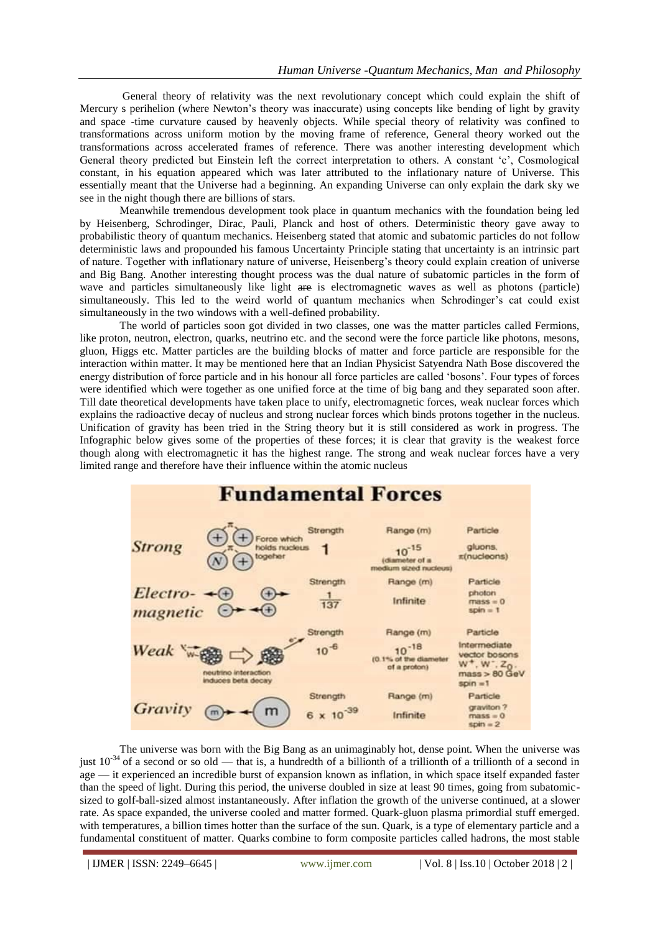General theory of relativity was the next revolutionary concept which could explain the shift of Mercury s perihelion (where Newton's theory was inaccurate) using concepts like bending of light by gravity and space -time curvature caused by heavenly objects. While special theory of relativity was confined to transformations across uniform motion by the moving frame of reference, General theory worked out the transformations across accelerated frames of reference. There was another interesting development which General theory predicted but Einstein left the correct interpretation to others. A constant 'c', Cosmological constant, in his equation appeared which was later attributed to the inflationary nature of Universe. This essentially meant that the Universe had a beginning. An expanding Universe can only explain the dark sky we see in the night though there are billions of stars.

Meanwhile tremendous development took place in quantum mechanics with the foundation being led by Heisenberg, Schrodinger, Dirac, Pauli, Planck and host of others. Deterministic theory gave away to probabilistic theory of quantum mechanics. Heisenberg stated that atomic and subatomic particles do not follow deterministic laws and propounded his famous Uncertainty Principle stating that uncertainty is an intrinsic part of nature. Together with inflationary nature of universe, Heisenberg's theory could explain creation of universe and Big Bang. Another interesting thought process was the dual nature of subatomic particles in the form of wave and particles simultaneously like light are is electromagnetic waves as well as photons (particle) simultaneously. This led to the weird world of quantum mechanics when Schrodinger's cat could exist simultaneously in the two windows with a well-defined probability.

The world of particles soon got divided in two classes, one was the matter particles called Fermions, like proton, neutron, electron, quarks, neutrino etc. and the second were the force particle like photons, mesons, gluon, Higgs etc. Matter particles are the building blocks of matter and force particle are responsible for the interaction within matter. It may be mentioned here that an Indian Physicist Satyendra Nath Bose discovered the energy distribution of force particle and in his honour all force particles are called ‗bosons'. Four types of forces were identified which were together as one unified force at the time of big bang and they separated soon after. Till date theoretical developments have taken place to unify, electromagnetic forces, weak nuclear forces which explains the radioactive decay of nucleus and strong nuclear forces which binds protons together in the nucleus. Unification of gravity has been tried in the String theory but it is still considered as work in progress. The Infographic below gives some of the properties of these forces; it is clear that gravity is the weakest force though along with electromagnetic it has the highest range. The strong and weak nuclear forces have a very limited range and therefore have their influence within the atomic nucleus



The universe was born with the Big Bang as an unimaginably hot, dense point. When the universe was just  $10^{-34}$  of a second or so old — that is, a hundredth of a billionth of a trillionth of a trillionth of a second in age — it experienced an incredible burst of expansion known as inflation, in which space itself expanded faster than the speed of light. During this period, the universe doubled in size at least 90 times, going from subatomicsized to golf-ball-sized almost instantaneously. After inflation the growth of the universe continued, at a slower rate. As space expanded, the universe cooled and matter formed. Quark-gluon plasma primordial stuff emerged. with temperatures, a billion times hotter than the surface of the sun. Quark, is a type of elementary particle and a fundamental constituent of matter. Quarks combine to form composite particles called hadrons, the most stable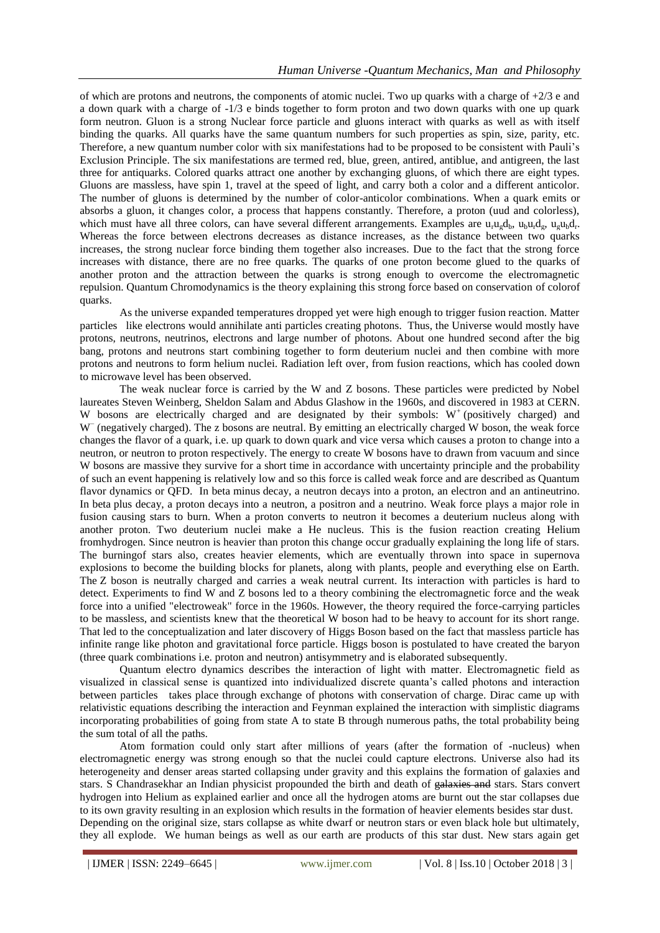of which are protons and neutrons, the components of atomic nuclei. Two up quarks with a charge of +2/3 e and a down quark with a charge of -1/3 e binds together to form proton and two down quarks with one up quark form neutron. Gluon is a strong Nuclear force particle and gluons interact with quarks as well as with itself binding the quarks. All quarks have the same quantum numbers for such properties as spin, size, parity, etc. Therefore, a new quantum number color with six manifestations had to be proposed to be consistent with Pauli's Exclusion Principle. The six manifestations are termed red, blue, green, antired, antiblue, and antigreen, the last three for antiquarks. Colored quarks attract one another by exchanging gluons, of which there are eight types. Gluons are massless, have spin 1, travel at the speed of light, and carry both a color and a different anticolor. The number of gluons is determined by the number of color-anticolor combinations. When a quark emits or absorbs a gluon, it changes color, a process that happens constantly. Therefore, a proton (uud and colorless), which must have all three colors, can have several different arrangements. Examples are  $u_r u_g d_b$ ,  $u_p u_r d_g$ ,  $u_g u_b d_r$ . Whereas the force between electrons decreases as distance increases, as the distance between two quarks increases, the strong nuclear force binding them together also increases. Due to the fact that the strong force increases with distance, there are no free quarks. The quarks of one proton become glued to the quarks of another proton and the attraction between the quarks is strong enough to overcome the electromagnetic repulsion. Quantum Chromodynamics is the theory explaining this strong force based on conservation of colorof quarks.

As the universe expanded temperatures dropped yet were high enough to trigger fusion reaction. Matter particles like electrons would annihilate anti particles creating photons. Thus, the Universe would mostly have protons, neutrons, neutrinos, electrons and large number of photons. About one hundred second after the big bang, protons and neutrons start combining together to form deuterium nuclei and then combine with more protons and neutrons to form helium nuclei. Radiation left over, from fusion reactions, which has cooled down to microwave level has been observed.

The weak nuclear force is carried by the W and Z bosons. These particles were predicted by Nobel laureates Steven Weinberg, Sheldon Salam and Abdus Glashow in the 1960s, and discovered in 1983 at CERN. W bosons are electrically charged and are designated by their symbols:  $W^+$  (positively charged) and W<sup>−</sup> (negatively charged). The z bosons are neutral. By emitting an electrically charged W boson, the weak force changes the flavor of a quark, i.e. up quark to down quark and vice versa which causes a proton to change into a neutron, or neutron to proton respectively. The energy to create W bosons have to drawn from vacuum and since W bosons are massive they survive for a short time in accordance with uncertainty principle and the probability of such an event happening is relatively low and so this force is called weak force and are described as Quantum flavor dynamics or QFD. In beta minus decay, a neutron decays into a proton, an electron and an antineutrino. In beta plus decay, a proton decays into a neutron, a positron and a neutrino. Weak force plays a major role in fusion causing stars to burn. When a proton converts to neutron it becomes a deuterium nucleus along with another proton. Two deuterium nuclei make a He nucleus. This is the fusion reaction creating Helium fromhydrogen. Since neutron is heavier than proton this change occur gradually explaining the long life of stars. The burningof stars also, creates heavier elements, which are eventually thrown into space in supernova explosions to become the building blocks for planets, along with plants, people and everything else on Earth. The Z boson is neutrally charged and carries a weak neutral current. Its interaction with particles is hard to detect. Experiments to find W and Z bosons led to a theory combining the electromagnetic force and the weak force into a unified "electroweak" force in the 1960s. However, the theory required the force-carrying particles to be massless, and scientists knew that the theoretical W boson had to be heavy to account for its short range. That led to the conceptualization and later discovery of Higgs Boson based on the fact that massless particle has infinite range like photon and gravitational force particle. Higgs boson is postulated to have created the baryon (three quark combinations i.e. proton and neutron) antisymmetry and is elaborated subsequently.

Quantum electro dynamics describes the interaction of light with matter. Electromagnetic field as visualized in classical sense is quantized into individualized discrete quanta's called photons and interaction between particles takes place through exchange of photons with conservation of charge. Dirac came up with relativistic equations describing the interaction and Feynman explained the interaction with simplistic diagrams incorporating probabilities of going from state A to state B through numerous paths, the total probability being the sum total of all the paths.

Atom formation could only start after millions of years (after the formation of -nucleus) when electromagnetic energy was strong enough so that the nuclei could capture electrons. Universe also had its heterogeneity and denser areas started collapsing under gravity and this explains the formation of galaxies and stars. S Chandrasekhar an Indian physicist propounded the birth and death of galaxies and stars. Stars convert hydrogen into Helium as explained earlier and once all the hydrogen atoms are burnt out the star collapses due to its own gravity resulting in an explosion which results in the formation of heavier elements besides star dust. Depending on the original size, stars collapse as white dwarf or neutron stars or even black hole but ultimately, they all explode. We human beings as well as our earth are products of this star dust. New stars again get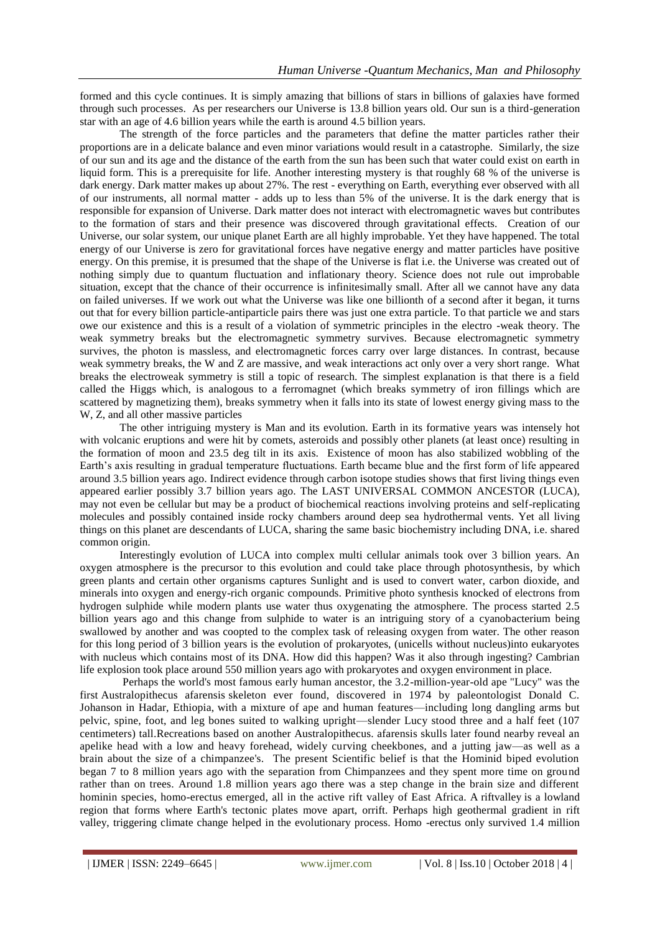formed and this cycle continues. It is simply amazing that billions of stars in billions of galaxies have formed through such processes. As per researchers our Universe is 13.8 billion years old. Our sun is a third-generation star with an age of 4.6 billion years while the earth is around 4.5 billion years.

The strength of the force particles and the parameters that define the matter particles rather their proportions are in a delicate balance and even minor variations would result in a catastrophe. Similarly, the size of our sun and its age and the distance of the earth from the sun has been such that water could exist on earth in liquid form. This is a prerequisite for life. Another interesting mystery is that roughly 68 % of the universe is dark energy. Dark matter makes up about 27%. The rest - everything on Earth, everything ever observed with all of our instruments, all normal matter - adds up to less than 5% of the universe. It is the dark energy that is responsible for expansion of Universe. Dark matter does not interact with electromagnetic waves but contributes to the formation of stars and their presence was discovered through gravitational effects. Creation of our Universe, our solar system, our unique planet Earth are all highly improbable. Yet they have happened. The total energy of our Universe is zero for gravitational forces have negative energy and matter particles have positive energy. On this premise, it is presumed that the shape of the Universe is flat i.e. the Universe was created out of nothing simply due to quantum fluctuation and inflationary theory. Science does not rule out improbable situation, except that the chance of their occurrence is infinitesimally small. After all we cannot have any data on failed universes. If we work out what the Universe was like one billionth of a second after it began, it turns out that for every billion particle-antiparticle pairs there was just one extra particle. To that particle we and stars owe our existence and this is a result of a violation of symmetric principles in the electro -weak theory. The weak symmetry breaks but the electromagnetic symmetry survives. Because electromagnetic symmetry survives, the photon is massless, and electromagnetic forces carry over large distances. In contrast, because weak symmetry breaks, the W and Z are massive, and weak interactions act only over a very short range. What breaks the electroweak symmetry is still a topic of research. The simplest explanation is that there is a field called the Higgs which, is analogous to a ferromagnet (which breaks symmetry of iron fillings which are scattered by magnetizing them), breaks symmetry when it falls into its state of lowest energy giving mass to the W, Z, and all other massive particles

The other intriguing mystery is Man and its evolution. Earth in its formative years was intensely hot with volcanic eruptions and were hit by comets, asteroids and possibly other planets (at least once) resulting in the formation of moon and 23.5 deg tilt in its axis. Existence of moon has also stabilized wobbling of the Earth's axis resulting in gradual temperature fluctuations. Earth became blue and the first form of life appeared around 3.5 billion years ago. Indirect evidence through carbon isotope studies shows that first living things even appeared earlier possibly 3.7 billion years ago. The LAST UNIVERSAL COMMON ANCESTOR (LUCA), may not even be cellular but may be a product of biochemical reactions involving proteins and self-replicating molecules and possibly contained inside rocky chambers around deep sea hydrothermal vents. Yet all living things on this planet are descendants of LUCA, sharing the same basic biochemistry including DNA, i.e. shared common origin.

Interestingly evolution of LUCA into complex multi cellular animals took over 3 billion years. An oxygen atmosphere is the precursor to this evolution and could take place through photosynthesis, by which green plants and certain other organisms captures Sunlight and is used to convert water, carbon dioxide, and minerals into oxygen and energy-rich organic compounds. Primitive photo synthesis knocked of electrons from hydrogen sulphide while modern plants use water thus oxygenating the atmosphere. The process started 2.5 billion years ago and this change from sulphide to water is an intriguing story of a cyanobacterium being swallowed by another and was coopted to the complex task of releasing oxygen from water. The other reason for this long period of 3 billion years is the evolution of prokaryotes, (unicells without nucleus)into eukaryotes with nucleus which contains most of its DNA. How did this happen? Was it also through ingesting? Cambrian life explosion took place around 550 million years ago with prokaryotes and oxygen environment in place.

Perhaps the world's most famous early human ancestor, the 3.2-million-year-old ape "Lucy" was the first Australopithecus afarensis skeleton ever found, discovered in 1974 by paleontologist Donald C. Johanson in Hadar, Ethiopia, with a mixture of ape and human features—including long dangling arms but pelvic, spine, foot, and leg bones suited to walking upright—slender Lucy stood three and a half feet (107 centimeters) tall.Recreations based on another Australopithecus. afarensis skulls later found nearby reveal an apelike head with a low and heavy forehead, widely curving cheekbones, and a jutting jaw—as well as a brain about the size of a chimpanzee's. The present Scientific belief is that the Hominid biped evolution began 7 to 8 million years ago with the separation from Chimpanzees and they spent more time on ground rather than on trees. Around 1.8 million years ago there was a step change in the brain size and different hominin species, homo-erectus emerged, all in the active rift valley of East Africa. A riftvalley is a lowland region that forms where Earth's tectonic plates move apart, orrift. Perhaps high geothermal gradient in rift valley, triggering climate change helped in the evolutionary process. Homo -erectus only survived 1.4 million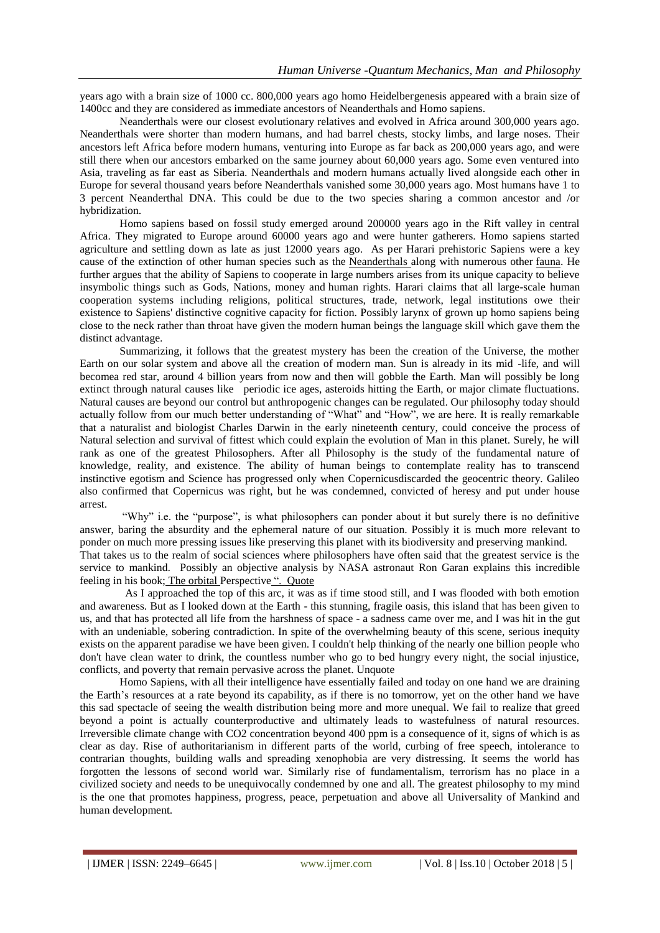years ago with a brain size of 1000 cc. 800,000 years ago homo Heidelbergenesis appeared with a brain size of 1400cc and they are considered as immediate ancestors of Neanderthals and Homo sapiens.

Neanderthals were our closest evolutionary relatives and evolved in Africa around 300,000 years ago. Neanderthals were shorter than modern humans, and had barrel chests, stocky limbs, and large noses. Their ancestors left Africa before modern humans, venturing into Europe as far back as 200,000 years ago, and were still there when our ancestors embarked on the same journey about 60,000 years ago. Some even ventured into Asia, traveling as far east as Siberia. Neanderthals and modern humans actually lived alongside each other in Europe for several thousand years before Neanderthals vanished some 30,000 years ago. Most humans have 1 to 3 percent Neanderthal DNA. This could be due to the two species sharing a common ancestor and /or hybridization.

Homo sapiens based on fossil study emerged around 200000 years ago in the Rift valley in central Africa. They migrated to Europe around 60000 years ago and were hunter gatherers. Homo sapiens started agriculture and settling down as late as just 12000 years ago. As per Harari prehistoric Sapiens were a key cause of the extinction of other human species such as the Neanderthals along with numerous other [fauna.](https://en.wikipedia.org/wiki/Megafauna) He further argues that the ability of Sapiens to cooperate in large numbers arises from its unique capacity to believe insymbolic things such as Gods, Nations, money and human rights. Harari claims that all large-scale human cooperation systems including religions, political structures, trade, network, legal institutions owe their existence to Sapiens' distinctive cognitive capacity for fiction. Possibly larynx of grown up homo sapiens being close to the neck rather than throat have given the modern human beings the language skill which gave them the distinct advantage.

Summarizing, it follows that the greatest mystery has been the creation of the Universe, the mother Earth on our solar system and above all the creation of modern man. Sun is already in its mid -life, and will becomea red star, around 4 billion years from now and then will gobble the Earth. Man will possibly be long extinct through natural causes like periodic ice ages, asteroids hitting the Earth, or major climate fluctuations. Natural causes are beyond our control but anthropogenic changes can be regulated. Our philosophy today should actually follow from our much better understanding of "What" and "How", we are here. It is really remarkable that a naturalist and biologist Charles Darwin in the early nineteenth century, could conceive the process of Natural selection and survival of fittest which could explain the evolution of Man in this planet. Surely, he will rank as one of the greatest Philosophers. After all Philosophy is the study of the fundamental nature of knowledge, reality, and existence. The ability of human beings to contemplate reality has to transcend instinctive egotism and Science has progressed only when Copernicusdiscarded the geocentric theory. Galileo also confirmed that Copernicus was right, but he was condemned, convicted of heresy and put under house arrest.

"Why" i.e. the "purpose", is what philosophers can ponder about it but surely there is no definitive answer, baring the absurdity and the ephemeral nature of our situation. Possibly it is much more relevant to ponder on much more pressing issues like preserving this planet with its biodiversity and preserving mankind. That takes us to the realm of social sciences where philosophers have often said that the greatest service is the service to mankind. Possibly an objective analysis by NASA astronaut Ron Garan explains this incredible feeling in his book; The orbital Perspective ". Quote

 As I approached the top of this arc, it was as if time stood still, and I was flooded with both emotion and awareness. But as I looked down at the Earth - this stunning, fragile oasis, this island that has been given to us, and that has protected all life from the harshness of space - a sadness came over me, and I was hit in the gut with an undeniable, sobering contradiction. In spite of the overwhelming beauty of this scene, serious inequity exists on the apparent paradise we have been given. I couldn't help thinking of the nearly one billion people who don't have clean water to drink, the countless number who go to bed hungry every night, the social injustice, conflicts, and poverty that remain pervasive across the planet. Unquote

Homo Sapiens, with all their intelligence have essentially failed and today on one hand we are draining the Earth's resources at a rate beyond its capability, as if there is no tomorrow, yet on the other hand we have this sad spectacle of seeing the wealth distribution being more and more unequal. We fail to realize that greed beyond a point is actually counterproductive and ultimately leads to wastefulness of natural resources. Irreversible climate change with CO2 concentration beyond 400 ppm is a consequence of it, signs of which is as clear as day. Rise of authoritarianism in different parts of the world, curbing of free speech, intolerance to contrarian thoughts, building walls and spreading xenophobia are very distressing. It seems the world has forgotten the lessons of second world war. Similarly rise of fundamentalism, terrorism has no place in a civilized society and needs to be unequivocally condemned by one and all. The greatest philosophy to my mind is the one that promotes happiness, progress, peace, perpetuation and above all Universality of Mankind and human development.